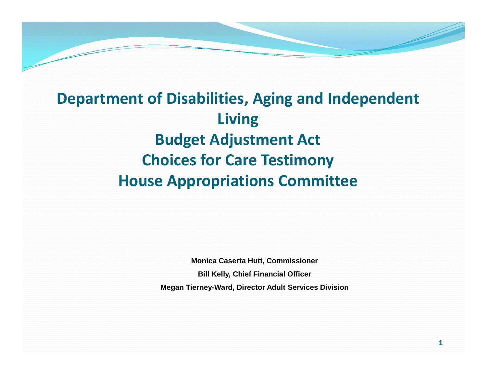# **Department of Disabilities, Aging and Independent Living Budget Adjustment Act Choices for Care Testimony House Appropriations Committee**

**Monica Caserta Hutt, Commissioner Bill Kelly, Chief Financial Officer Megan Tierney-Ward, Director Adult Services Division**

**1**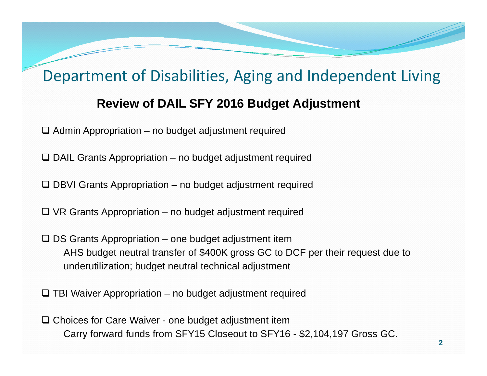#### **Review of DAIL SFY 2016 Budget Adjustment**

 $\Box$  Admin Appropriation – no budget adjustment required

 $\Box$  DAIL Grants Appropriation – no budget adjustment required

□ DBVI Grants Appropriation – no budget adjustment required

 $\Box$  VR Grants Appropriation – no budget adjustment required

 $\square$  DS Grants Appropriation – one budget adjustment item AHS budget neutral transfer of \$400K gross GC to DCF per their request due to underutilization; budget neutral technical adjustment

 $\Box$  TBI Waiver Appropriation – no budget adjustment required

□ Choices for Care Waiver - one budget adjustment item Carry forward funds from SFY15 Closeout to SFY16 - \$2,104,197 Gross GC.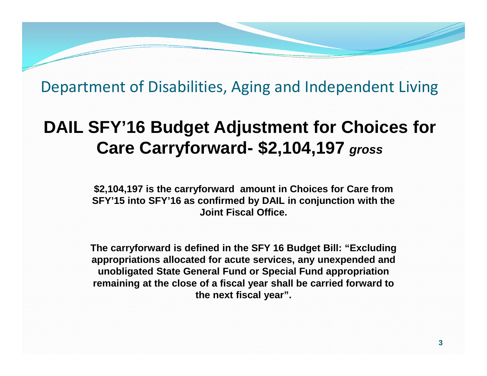# **DAIL SFY'16 Budget Adjustment for Choices for Care Carryforward- \$2,104,197** *gross*

**\$2,104,197 is the carryforward amount in Choices for Care from SFY'15 into SFY'16 as confirmed by DAIL in conjunction with the Joint Fiscal Office.**

**The carryforward is defined in the SFY 16 Budget Bill: "Excluding appropriations allocated for acute services, any unexpended and unobligated State General Fund or Special Fund appropriation remaining at the close of a fiscal year shall be carried forward to the next fiscal year".**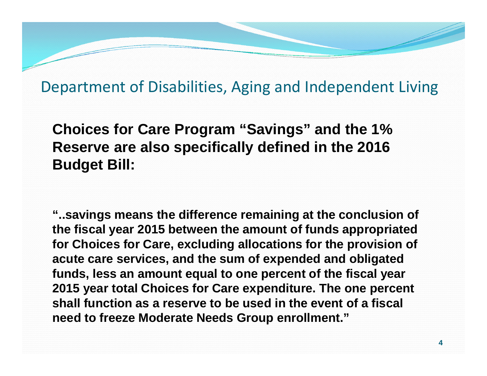**Choices for Care Program "Savings" and the 1% Reserve are also specifically defined in the 2016 Budget Bill:**

**"..savings means the difference remaining at the conclusion of the fiscal year 2015 between the amount of funds appropriated for Choices for Care, excluding allocations for the provision of acute care services, and the sum of expended and obligated funds, less an amount equal to one percent of the fiscal year 2015 year total Choices for Care expenditure. The one percent shall function as a reserve to be used in the event of a fiscal need to freeze Moderate Needs Group enrollment."**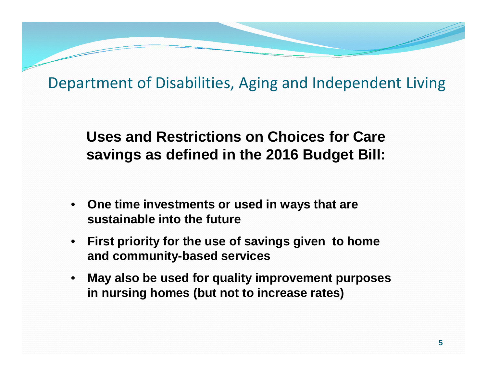### **Uses and Restrictions on Choices for Care savings as defined in the 2016 Budget Bill:**

- **One time investments or used in ways that are sustainable into the future**
- **First priority for the use of savings given to home and community-based services**
- **May also be used for quality improvement purposes in nursing homes (but not to increase rates)**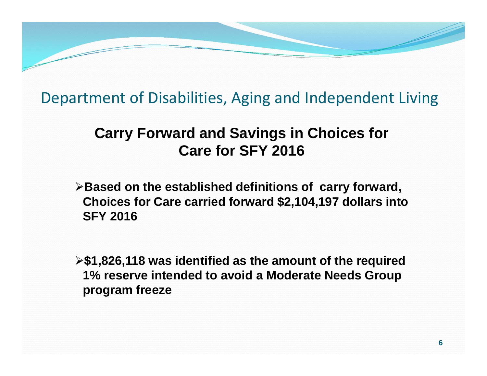### **Carry Forward and Savings in Choices for Care for SFY 2016**

**Based on the established definitions of carry forward, Choices for Care carried forward \$2,104,197 dollars into SFY 2016**

**\$1,826,118 was identified as the amount of the required 1% reserve intended to avoid a Moderate Needs Group program freeze**